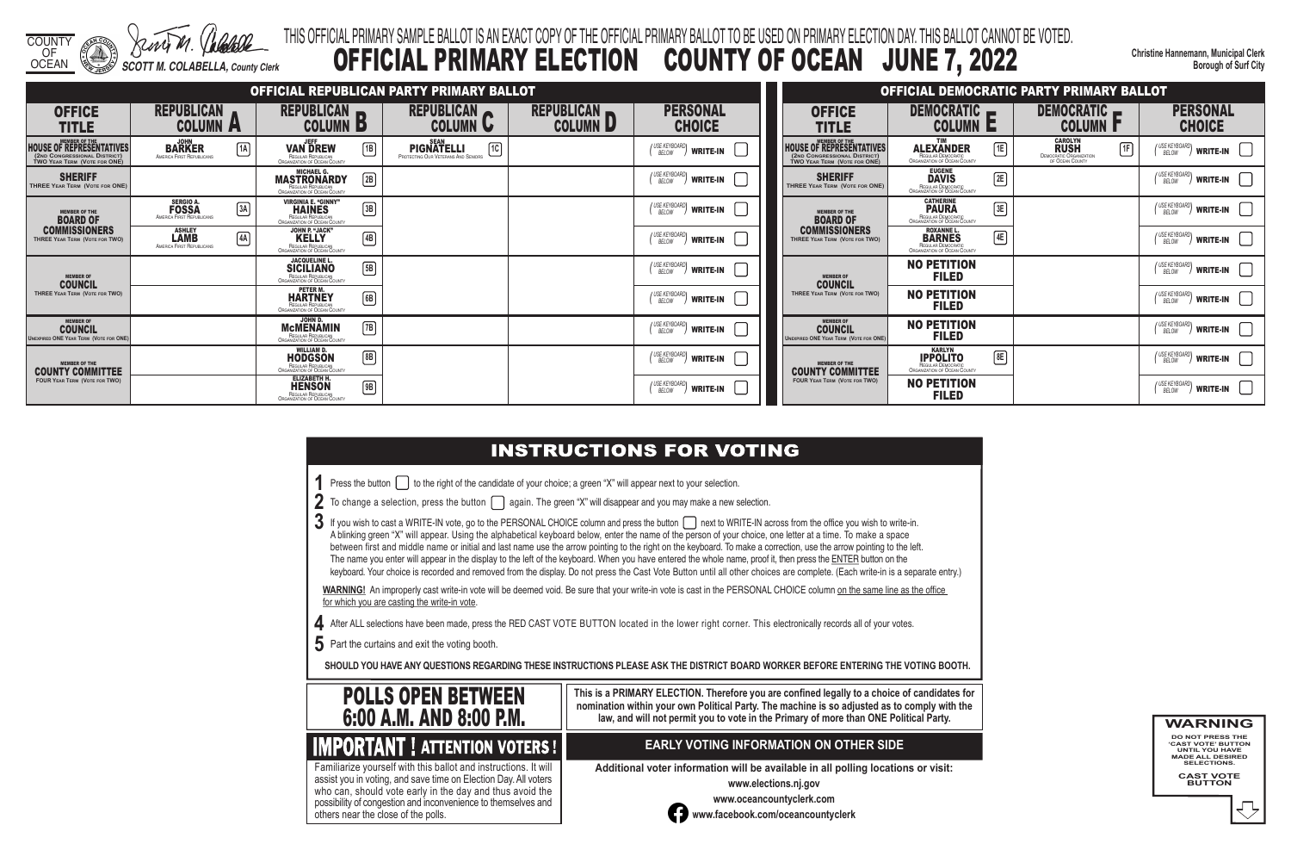



**Christine Hannemann, Municipal Clerk Borough of Surf City**

# THIS OFFICIAL PRIMARY SAMPLE BALLOT IS AN EXACT COPY OF THE OFFICIAL PRIMARY BALLOT TO BE USED ON PRIMARY ELECTION DAY. THIS BALLOT CANNOT BE VOTED. OFFICIAL PRIMARY ELECTION COUNTY OF OCEAN JUNE 7, 2022

- **1** Press the button **the right of the candidate of your choice**; a green "X" will appear next to your selection.
- **2** To change a selection, press the button **again.** The green "X" will disappear and you may make a new selection.
- 3 If you wish to cast a WRITE-IN vote, go to the PERSONAL CHOICE column and press the button next to WRITE-IN across from the office you wish to write-in. A blinking green "X" will appear. Using the alphabetical keyboard below, enter the name of the person of your choice, one letter at a time. To make a space between first and middle name or initial and last name use the arrow pointing to the right on the keyboard. To make a correction, use the arrow pointing to the left. The name you enter will appear in the display to the left of the keyboard. When you have entered the whole name, proof it, then press the ENTER button on the keyboard. Your choice is recorded and removed from the display. Do not press the Cast Vote Button until all other choices are complete. (Each write-in is a separate entry.)

WARNING! An improperly cast write-in vote will be deemed void. Be sure that your write-in vote is cast in the PERSONAL CHOICE column on the same line as the office for which you are casting the write-in vote.

- **4** After ALL selections have been made, press the RED CAST VOTE BUTTON located in the lower right corner. This electronically records all of your votes.
- **5** Part the curtains and exit the voting booth.

**SHOULD YOU HAVE ANY QUESTIONS REGARDING THESE INSTRUCTIONS PLEASE ASK THE DISTRICT BOARD WORKER BEFORE ENTERING THE VOTING BOOTH.**

**This is a PRIMARY ELECTION. Therefore you are confined legally to a choice of candidates for nomination within your own Political Party. The machine is so adjusted as to comply with the law, and will not permit you to vote in the Primary of more than ONE Political Party.**

 assist you in voting, and save time on Election Day. All voters Familiarize yourself with this ballot and instructions. It will who can, should vote early in the day and thus avoid the possibility of congestion and inconvenience to themselves and others near the close of the polls.

## **EARLY VOTING INFORMATION ON OTHER SIDE**

**Additional voter information will be available in all polling locations or visit:**

**www.elections.nj.gov** 



**www.oceancountyclerk.com <sup>w</sup>ww.facebook.com/oceancountyclerk**

**WARNING DO NOT PRESS THE** 

**'CAST VOTE' BUTTON UNTIL YOU HAVE MADE ALL DESIRED SELECTIONS.** 

**CAST VOTE BUTTON**



|                                                                                                                         |                                                               |              |                                                                                                   |              | OFFICIAL REPUBLICAN PARTY PRIMARY BALLOT                                               |                                      |                                            |                                                                                          |
|-------------------------------------------------------------------------------------------------------------------------|---------------------------------------------------------------|--------------|---------------------------------------------------------------------------------------------------|--------------|----------------------------------------------------------------------------------------|--------------------------------------|--------------------------------------------|------------------------------------------------------------------------------------------|
| <b>OFFICE</b><br><b>TITLE</b>                                                                                           | <b>REPUBLICAN</b><br><b>COLUMN A</b>                          |              | <b>REPUBLICAN</b><br><b>COLUMN</b>                                                                | D            | REPUBLICAN<br><b>COLUMN U</b>                                                          | <b>REPUBLICAN</b><br><b>COLUMN L</b> | <b>PERSONAL</b><br><b>CHOICE</b>           | <b>OFFICE</b><br><b>TITLE</b>                                                            |
| <b>MEMBER OF THE</b><br><b>HOUSE OF REPRESENTATIVES</b><br>(2ND CONGRESSIONAL DISTRICT)<br>TWO YEAR TERM (VOTE FOR ONE) | <b>JOHN</b><br><b>BARKER</b><br>AMERICA FIRST REPUBLICANS     | $\boxed{1A}$ | <b>JEFF</b><br><b>VAN DREW</b><br>REGULAR REPUBLICAN<br>ORGANIZATION OF OCEAN COUNTY              | $\boxed{1}$  | <b>SEAN</b><br>$\sqrt{10}$<br><b>PIGNATELLI</b><br>PROTECTING OUR VETERANS AND SENIORS |                                      | (USE KEYBOARD)<br><b>WRITE-IN</b>          | HOUSE OF REPRESENTATIVES<br>(2ND CONGRESSIONAL DISTRICT)<br>TWO YEAR TERM (VOTE FOR ONE) |
| <b>SHERIFF</b><br>THREE YEAR TERM (VOTE FOR ONE)                                                                        |                                                               |              | <b>MICHAEL G.</b><br><b>MASTRONARDY</b><br>REGULAR REPUBLICAN<br>ORGANIZATION OF OCEAN COUNTY     | 2B           |                                                                                        |                                      | (USE KEYBOARD)<br><b>WRITE-IN</b>          | <b>SHERIFF</b><br>THREE YEAR TERM (VOTE FOR ONE)                                         |
| <b>MEMBER OF THE</b><br><b>BOARD OF</b>                                                                                 | <b>SERGIO A.</b><br><b>FOSSA</b><br>AMERICA FIRST REPUBLICANS | 3A           | <b>VIRGINIA E. "GINNY"</b><br><b>HAINES</b><br>REGULAR REPUBLICAN<br>ORGANIZATION OF OCEAN COUNTY | $\boxed{3B}$ |                                                                                        |                                      | I USE KEYBOARD<br><b>WRITE-IN</b><br>BELOW | <b>MEMBER OF THE</b><br><b>BOARD OF</b>                                                  |
| <b>COMMISSIONERS</b><br>THREE YEAR TERM (VOTE FOR TWO)                                                                  | <b>ASHLEY</b><br><b>LAMB</b><br>AMERICA FIRST REPUBLICANS     | 4A           | <b>JOHN P. "JACK"</b><br><b>KELLY</b><br>REGULAR REPUBLICAN<br>ORGANIZATION OF OCEAN COUNTY       | $\boxed{4B}$ |                                                                                        |                                      | (USE KEYBOARD)<br><b>WRITE-IN</b>          | <b>COMMISSIONERS</b><br>THREE YEAR TERM (VOTE FOR TWO)                                   |
| <b>MEMBER OF</b><br><b>COUNCIL</b>                                                                                      |                                                               |              | <b>JACQUELINE L.</b><br><b>SICILIANO</b><br>REGULAR REPUBLICAN<br>ORGANIZATION OF OCEAN COUNTY    | $\boxed{5B}$ |                                                                                        |                                      | (USE KEYBOARD)<br>BELOW<br><b>WRITE-IN</b> | <b>MEMBER OF</b><br><b>COUNCIL</b>                                                       |
| THREE YEAR TERM (VOTE FOR TWO)                                                                                          |                                                               |              | PETER M.<br><b>HARTNEY</b><br>REGULAR REPUBLICAN<br>ORGANIZATION OF OCEAN COUNTY                  | 6B           |                                                                                        |                                      | (USE KEYBOARD)<br><b>WRITE-IN</b>          | THREE YEAR TERM (VOTE FOR TWO)                                                           |
| <b>MEMBER OF</b><br><b>COUNCIL</b><br><b>UNEXPIRED ONE YEAR TERM (VOTE FOR ONE)</b>                                     |                                                               |              | JOHN D.<br><b>McMENAMIN</b><br>REGULAR REPUBLICAN<br>ORGANIZATION OF OCEAN COUNTY                 | $\boxed{7B}$ |                                                                                        |                                      | / USE KEYBOARD<br><b>WRITE-IN</b><br>BELOW | <b>MEMBER OF</b><br><b>COUNCIL</b><br><b>UNEXPIRED ONE YEAR TERM (VOTE FOR ONE)</b>      |
| <b>MEMBER OF THE</b><br><b>COUNTY COMMITTEE</b>                                                                         |                                                               |              | <b>WILLIAM D.</b><br><b>HODGSON</b><br>REGULAR REPUBLICAN<br>ORGANIZATION OF OCEAN COUNTY         | $\boxed{8B}$ |                                                                                        |                                      | (USE KEYBOARD)<br><b>WRITE-IN</b>          | <b>MEMBER OF THE</b><br><b>COUNTY COMMITTEE</b>                                          |
| <b>FOUR YEAR TERM (VOTE FOR TWO)</b>                                                                                    |                                                               |              | <b>ELIZABETH H.</b><br><b>HENSON</b><br>REGULAR REPUBLICAN<br>ORGANIZATION OF OCEAN COUNTY        | $\boxed{9B}$ |                                                                                        |                                      | / USE KEYBOARD<br><b>WRITE-IN</b><br>BELOW | <b>FOUR YEAR TERM (VOTE FOR TWO)</b>                                                     |

# **INSTRUCTIONS FOR VOTING**

|                                                                                                           |                                                                                                 |    | OFFICIAL DEMOCRATIC PARTY PRIMARY BALLOT                                                 |                                                            |
|-----------------------------------------------------------------------------------------------------------|-------------------------------------------------------------------------------------------------|----|------------------------------------------------------------------------------------------|------------------------------------------------------------|
| OFFICE<br>TITLE                                                                                           | <b>DEMOCRATIC</b><br>COLUMN                                                                     |    | <b>DEMOCRATIC</b><br><b>COLUMN</b>                                                       | <b>PERSONAL</b><br><b>CHOICE</b>                           |
| <b>MEMBER OF THE</b><br>OF REPRESENTATIVES<br>ONGRESSIONAL DISTRICT)<br>$\epsilon$ ar Term (Vote for ONE) | <b>TIM</b><br><b>ALEXANDER</b><br>REGULAR DEMOCRATIC<br>ORGANIZATION OF OCEAN COUNTY            | 1E | <b>CAROLYN</b><br><b>RUSH</b><br>1F<br><b>DEMOCRATIC ORGANIZATION</b><br>OF OCEAN COUNTY | I USE KEYBOARD <b>I</b><br><b>WRITE-IN</b><br><b>BELOW</b> |
| <b>SHERIFF</b><br><b>EAR TERM (VOTE FOR ONE)</b>                                                          | <b>EUGENE</b><br><b>DAVIS</b><br>REGULAR DEMOCRATIC<br>ORGANIZATION OF OCEAN COUNTY             | 2E |                                                                                          | ( USE KEYBOARD)<br><b>WRITE-IN</b><br><b>BELOW</b>         |
| <b>MEMBER OF THE</b><br><b>BOARD OF</b>                                                                   | <b>CATHERINE</b><br><b>PAURA</b><br>REGULAR DEMOCRATIC<br>ORGANIZATION OF OCEAN COUNTY          | 3E |                                                                                          | ' USE KEYBOARD <b>\</b><br><b>WRITE-IN</b><br><b>BELOW</b> |
| <b>MMISSIONERS</b><br>YEAR TERM (VOTE FOR TWO)                                                            | <b>ROXANNE L.</b><br><b>BARNES</b><br>REGULAR DEMOCRATIC<br><b>ORGANIZATION OF OCEAN COUNTY</b> | 4E |                                                                                          | (USE KEYBOARD)<br><b>WRITE-IN</b><br><b>BELOW</b>          |
| <b>MEMBER OF</b><br>COUNCIL                                                                               | <b>NO PETITION</b><br><b>FILED</b>                                                              |    |                                                                                          | ' USE KEYBOARD <b>\</b><br><b>WRITE-IN</b><br><b>BELOW</b> |
| YEAR TERM (VOTE FOR TWO)                                                                                  | <b>NO PETITION</b><br><b>FILED</b>                                                              |    |                                                                                          | USE KEYBOARD)<br><b>WRITE-IN</b><br><b>BELOW</b>           |
| <b>MEMBER OF</b><br><b>COUNCIL</b><br>ONE YEAR TERM (VOTE FOR ONE)                                        | <b>NO PETITION</b><br><b>FILED</b>                                                              |    |                                                                                          | ' USE KEYBOARD <b>\</b><br><b>WRITE-IN</b><br><b>BELOW</b> |
| <b>MEMBER OF THE</b><br>NTY COMMITTEE                                                                     | <b>KARLYN</b><br><b>IPPOLITO</b><br>REGULAR DEMOCRATIC<br>ORGANIZATION OF OCEAN COUNTY          | 8E |                                                                                          | USE KEYBOARDI<br><b>WRITE-IN</b><br><b>BELOW</b>           |
| <b>FEAR TERM (VOTE FOR TWO)</b>                                                                           | <b>NO PETITION</b><br><b>FILED</b>                                                              |    |                                                                                          | ' USE KEYBOARD)<br><b>WRITE-IN</b><br>BELOW                |

- 
- 
-